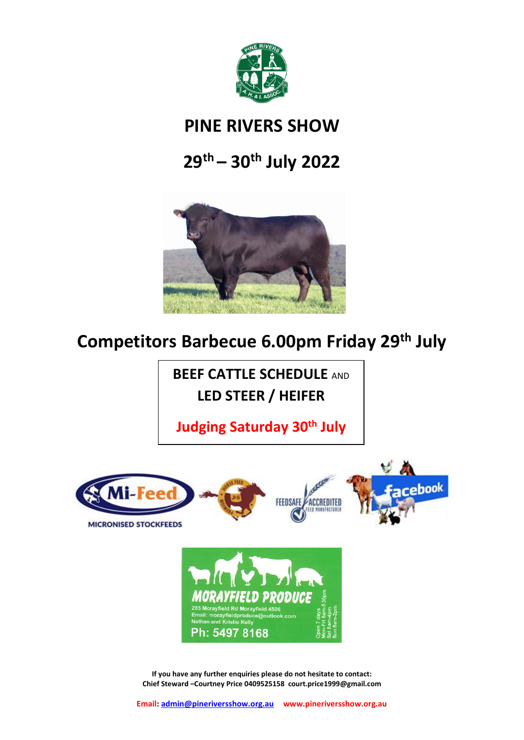

## **PINE RIVERS SHOW**

# **29th – 30 th July 2022**



# **Competitors Barbecue 6.00pm Friday 29th July**

**BEEF CATTLE SCHEDULE** AND **LED STEER / HEIFER**

**Judging Saturday 30 th July**

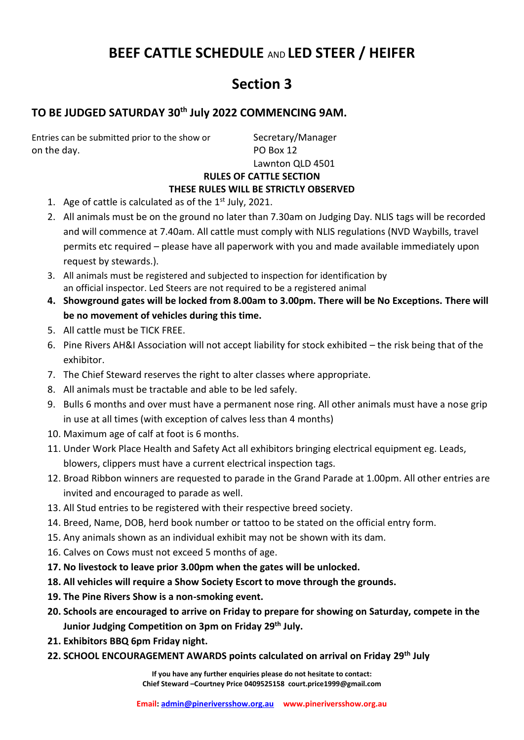## **BEEF CATTLE SCHEDULE** AND **LED STEER / HEIFER**

## **Section 3**

## **TO BE JUDGED SATURDAY 30 th July 2022 COMMENCING 9AM.**

Entries can be submitted prior to the show or Secretary/Manager on the day. PO Box 12

Lawnton QLD 4501

#### **RULES OF CATTLE SECTION**

#### **THESE RULES WILL BE STRICTLY OBSERVED**

- 1. Age of cattle is calculated as of the  $1<sup>st</sup>$  July, 2021.
- 2. All animals must be on the ground no later than 7.30am on Judging Day. NLIS tags will be recorded and will commence at 7.40am. All cattle must comply with NLIS regulations (NVD Waybills, travel permits etc required – please have all paperwork with you and made available immediately upon request by stewards.).
- 3. All animals must be registered and subjected to inspection for identification by an official inspector. Led Steers are not required to be a registered animal
- **4. Showground gates will be locked from 8.00am to 3.00pm. There will be No Exceptions. There will be no movement of vehicles during this time.**
- 5. All cattle must be TICK FREE.
- 6. Pine Rivers AH&I Association will not accept liability for stock exhibited the risk being that of the exhibitor.
- 7. The Chief Steward reserves the right to alter classes where appropriate.
- 8. All animals must be tractable and able to be led safely.
- 9. Bulls 6 months and over must have a permanent nose ring. All other animals must have a nose grip in use at all times (with exception of calves less than 4 months)
- 10. Maximum age of calf at foot is 6 months.
- 11. Under Work Place Health and Safety Act all exhibitors bringing electrical equipment eg. Leads, blowers, clippers must have a current electrical inspection tags.
- 12. Broad Ribbon winners are requested to parade in the Grand Parade at 1.00pm. All other entries are invited and encouraged to parade as well.
- 13. All Stud entries to be registered with their respective breed society.
- 14. Breed, Name, DOB, herd book number or tattoo to be stated on the official entry form.
- 15. Any animals shown as an individual exhibit may not be shown with its dam.
- 16. Calves on Cows must not exceed 5 months of age.
- **17. No livestock to leave prior 3.00pm when the gates will be unlocked.**
- **18. All vehicles will require a Show Society Escort to move through the grounds.**
- **19. The Pine Rivers Show is a non-smoking event.**
- **20. Schools are encouraged to arrive on Friday to prepare for showing on Saturday, compete in the Junior Judging Competition on 3pm on Friday 29th July.**
- **21. Exhibitors BBQ 6pm Friday night.**
- **22. SCHOOL ENCOURAGEMENT AWARDS points calculated on arrival on Friday 29th July**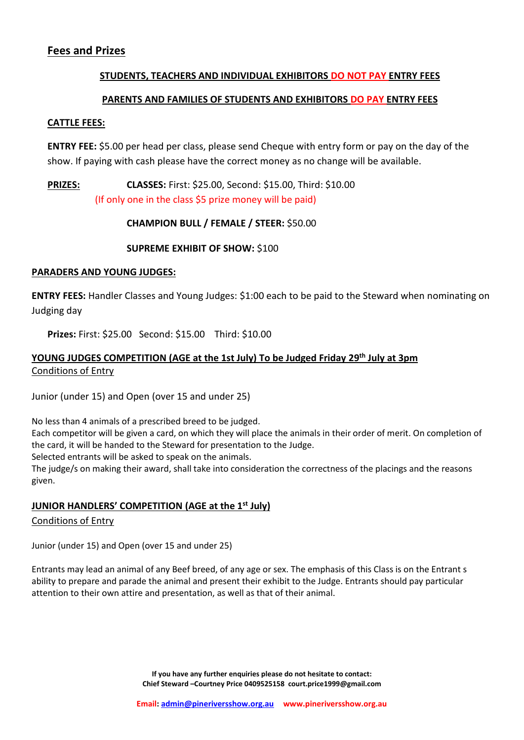#### **Fees and Prizes**

#### **STUDENTS, TEACHERS AND INDIVIDUAL EXHIBITORS DO NOT PAY ENTRY FEES**

#### **PARENTS AND FAMILIES OF STUDENTS AND EXHIBITORS DO PAY ENTRY FEES**

#### **CATTLE FEES:**

**ENTRY FEE:** \$5.00 per head per class, please send Cheque with entry form or pay on the day of the show. If paying with cash please have the correct money as no change will be available.

#### **PRIZES: CLASSES:** First: \$25.00, Second: \$15.00, Third: \$10.00 (If only one in the class \$5 prize money will be paid)

#### **CHAMPION BULL / FEMALE / STEER:** \$50.00

#### **SUPREME EXHIBIT OF SHOW:** \$100

#### **PARADERS AND YOUNG JUDGES:**

**ENTRY FEES:** Handler Classes and Young Judges: \$1:00 each to be paid to the Steward when nominating on Judging day

**Prizes:** First: \$25.00 Second: \$15.00 Third: \$10.00

### **YOUNG JUDGES COMPETITION (AGE at the 1st July) To be Judged Friday 29th July at 3pm** Conditions of Entry

Junior (under 15) and Open (over 15 and under 25)

No less than 4 animals of a prescribed breed to be judged. Each competitor will be given a card, on which they will place the animals in their order of merit. On completion of the card, it will be handed to the Steward for presentation to the Judge. Selected entrants will be asked to speak on the animals.

The judge/s on making their award, shall take into consideration the correctness of the placings and the reasons given.

#### **JUNIOR HANDLERS' COMPETITION (AGE at the 1st July)**

#### Conditions of Entry

Junior (under 15) and Open (over 15 and under 25)

Entrants may lead an animal of any Beef breed, of any age or sex. The emphasis of this Class is on the Entrant s ability to prepare and parade the animal and present their exhibit to the Judge. Entrants should pay particular attention to their own attire and presentation, as well as that of their animal.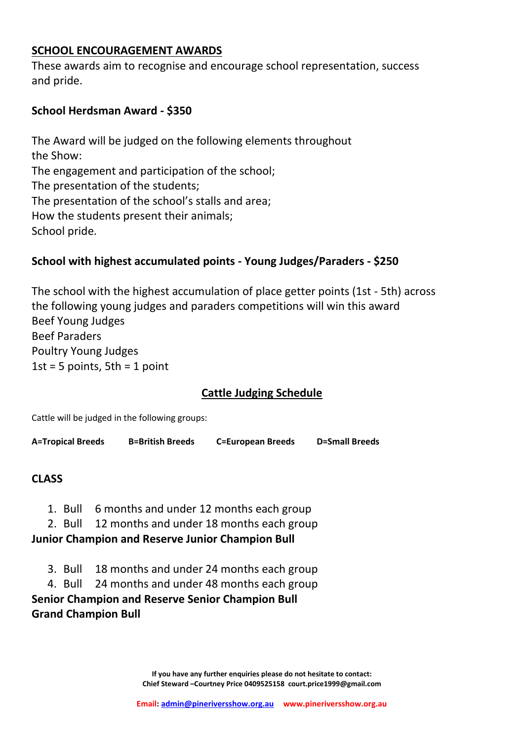### **SCHOOL ENCOURAGEMENT AWARDS**

These awards aim to recognise and encourage school representation, success and pride.

## **School Herdsman Award - \$350**

The Award will be judged on the following elements throughout the Show: The engagement and participation of the school; The presentation of the students; The presentation of the school's stalls and area; How the students present their animals; School pride.

## **School with highest accumulated points - Young Judges/Paraders - \$250**

The school with the highest accumulation of place getter points (1st - 5th) across the following young judges and paraders competitions will win this award Beef Young Judges Beef Paraders Poultry Young Judges 1st = 5 points,  $5th = 1$  point

## **Cattle Judging Schedule**

Cattle will be judged in the following groups:

**A=Tropical Breeds B=British Breeds C=European Breeds D=Small Breeds**

## **CLASS**

- 1. Bull 6 months and under 12 months each group
- 2. Bull 12 months and under 18 months each group

## **Junior Champion and Reserve Junior Champion Bull**

- 3. Bull 18 months and under 24 months each group
- 4. Bull 24 months and under 48 months each group

**Senior Champion and Reserve Senior Champion Bull Grand Champion Bull**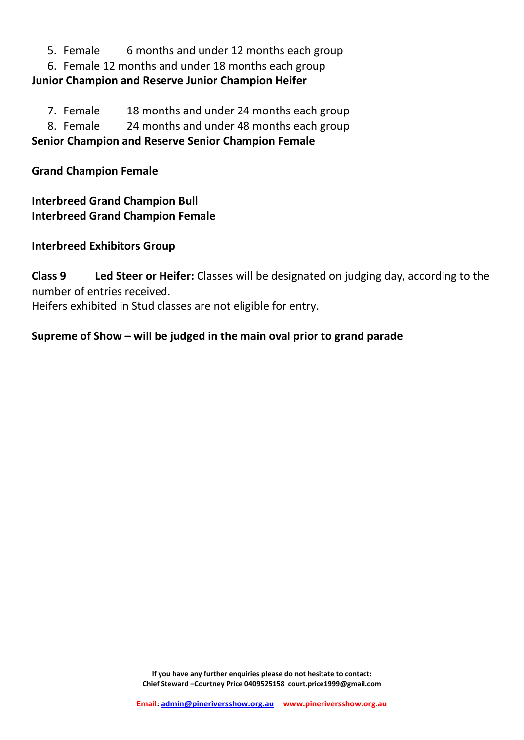5. Female 6 months and under 12 months each group

6. Female 12 months and under 18 months each group **Junior Champion and Reserve Junior Champion Heifer**

7. Female 18 months and under 24 months each group

8. Female 24 months and under 48 months each group

**Senior Champion and Reserve Senior Champion Female**

**Grand Champion Female**

**Interbreed Grand Champion Bull Interbreed Grand Champion Female**

**Interbreed Exhibitors Group**

**Class 9 Led Steer or Heifer:** Classes will be designated on judging day, according to the number of entries received. Heifers exhibited in Stud classes are not eligible for entry.

**Supreme of Show – will be judged in the main oval prior to grand parade**